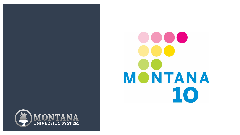

# $\bullet\bullet\bullet$ **MONTANA** 10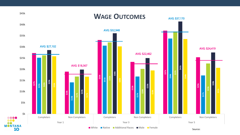

Source: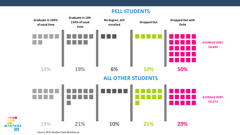#### **PELL STUDENTS**



Source: MUS Student Data Warehouse

.... 886 Q

**MONTANA** 

10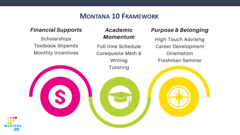#### **MONTANA 10 FRAMEWORK**

#### **Financial Supports**

Scholarships **Textbook Stipends** Monthly Incentives

#### Academic **Momentum**

Full time Schedule Corequisite Math & Writing Tutoring

#### **Purpose & Belonging**

**High Touch Advising Career Development** Orientation Freshman Seminar

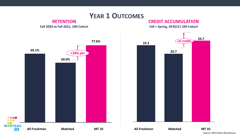

Source: MUS Data Warehouse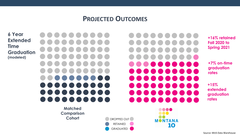#### **PROJECTED OUTCOMES**

**6 Year Extended Time Graduation (modeled)**

**Matched Comparison Cohort**

**TIME**  $\blacksquare$  $\blacksquare$ a di Indonesia **START STAR START TEXT STAR** 

> 8888 DO O

**MONTANA** 

10

**+16% retained Fall 2020 to Spring 2021**

**+7% on-time graduation rates**

**+15% extended graduation rates**

DROPPED OUT RETAINED GRADUATED

Source: MUS Data Warehouse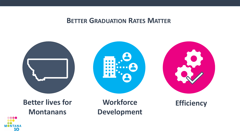#### **BETTER GRADUATION RATES MATTER**



### **Better lives for Montanans**

**Workforce Development** 

**Efficiency**